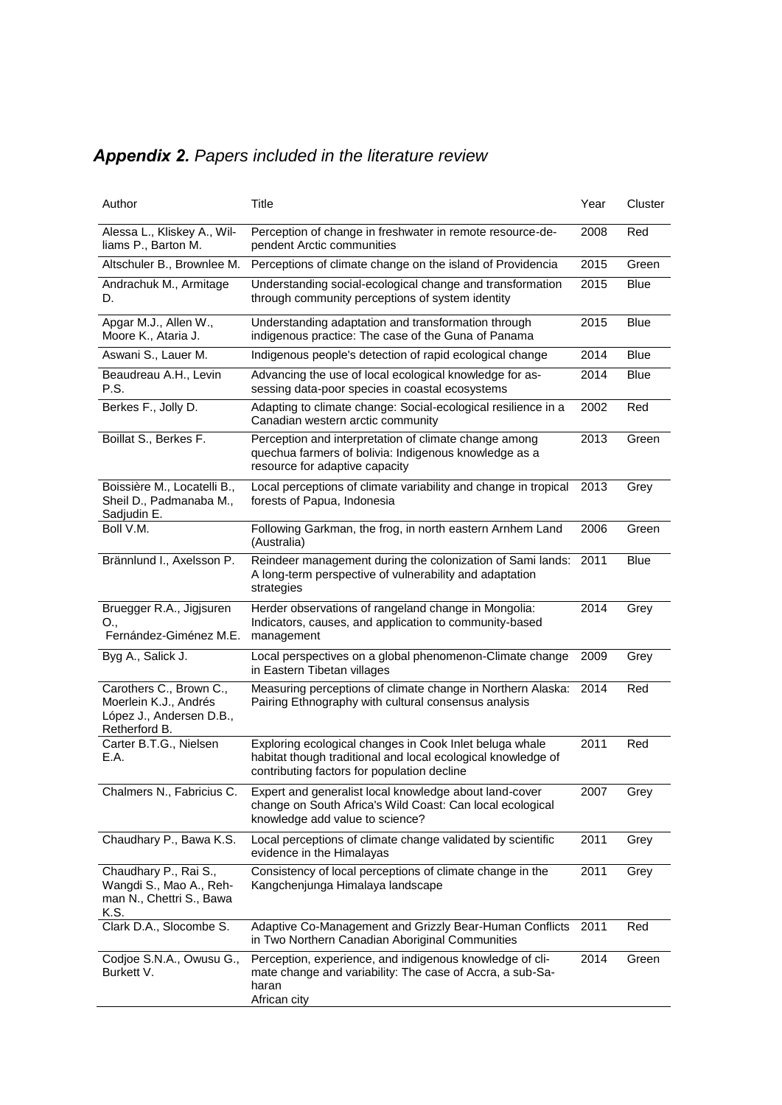| <b>Appendix 2.</b> Papers included in the literature review |  |  |  |  |  |
|-------------------------------------------------------------|--|--|--|--|--|
|-------------------------------------------------------------|--|--|--|--|--|

| Author                                                                                        | Title                                                                                                                                                                  | Year | Cluster     |
|-----------------------------------------------------------------------------------------------|------------------------------------------------------------------------------------------------------------------------------------------------------------------------|------|-------------|
| Alessa L., Kliskey A., Wil-<br>liams P., Barton M.                                            | Perception of change in freshwater in remote resource-de-<br>pendent Arctic communities                                                                                | 2008 | Red         |
| Altschuler B., Brownlee M.                                                                    | Perceptions of climate change on the island of Providencia                                                                                                             | 2015 | Green       |
| Andrachuk M., Armitage<br>D.                                                                  | Understanding social-ecological change and transformation<br>through community perceptions of system identity                                                          | 2015 | <b>Blue</b> |
| Apgar M.J., Allen W.,<br>Moore K., Ataria J.                                                  | Understanding adaptation and transformation through<br>indigenous practice: The case of the Guna of Panama                                                             | 2015 | <b>Blue</b> |
| Aswani S., Lauer M.                                                                           | Indigenous people's detection of rapid ecological change                                                                                                               | 2014 | <b>Blue</b> |
| Beaudreau A.H., Levin<br>P.S.                                                                 | Advancing the use of local ecological knowledge for as-<br>sessing data-poor species in coastal ecosystems                                                             | 2014 | <b>Blue</b> |
| Berkes F., Jolly D.                                                                           | Adapting to climate change: Social-ecological resilience in a<br>Canadian western arctic community                                                                     | 2002 | Red         |
| Boillat S., Berkes F.                                                                         | Perception and interpretation of climate change among<br>quechua farmers of bolivia: Indigenous knowledge as a<br>resource for adaptive capacity                       | 2013 | Green       |
| Boissière M., Locatelli B.,<br>Sheil D., Padmanaba M.,<br>Sadjudin E.                         | Local perceptions of climate variability and change in tropical<br>forests of Papua, Indonesia                                                                         | 2013 | Grey        |
| Boll V.M.                                                                                     | Following Garkman, the frog, in north eastern Arnhem Land<br>(Australia)                                                                                               | 2006 | Green       |
| Brännlund I., Axelsson P.                                                                     | Reindeer management during the colonization of Sami lands: 2011<br>A long-term perspective of vulnerability and adaptation<br>strategies                               |      | <b>Blue</b> |
| Bruegger R.A., Jigjsuren<br>O.,<br>Fernández-Giménez M.E.                                     | Herder observations of rangeland change in Mongolia:<br>Indicators, causes, and application to community-based<br>management                                           | 2014 | Grey        |
| Byg A., Salick J.                                                                             | Local perspectives on a global phenomenon-Climate change<br>in Eastern Tibetan villages                                                                                | 2009 | Grey        |
| Carothers C., Brown C.,<br>Moerlein K.J., Andrés<br>López J., Andersen D.B.,<br>Retherford B. | Measuring perceptions of climate change in Northern Alaska: 2014<br>Pairing Ethnography with cultural consensus analysis                                               |      | Red         |
| Carter B.T.G., Nielsen<br>E.A.                                                                | Exploring ecological changes in Cook Inlet beluga whale<br>habitat though traditional and local ecological knowledge of<br>contributing factors for population decline | 2011 | Red         |
| Chalmers N., Fabricius C.                                                                     | Expert and generalist local knowledge about land-cover<br>change on South Africa's Wild Coast: Can local ecological<br>knowledge add value to science?                 | 2007 | Grey        |
| Chaudhary P., Bawa K.S.                                                                       | Local perceptions of climate change validated by scientific<br>evidence in the Himalayas                                                                               | 2011 | Grey        |
| Chaudhary P., Rai S.,<br>Wangdi S., Mao A., Reh-<br>man N., Chettri S., Bawa<br>K.S.          | Consistency of local perceptions of climate change in the<br>Kangchenjunga Himalaya landscape                                                                          | 2011 | Grey        |
| Clark D.A., Slocombe S.                                                                       | Adaptive Co-Management and Grizzly Bear-Human Conflicts<br>in Two Northern Canadian Aboriginal Communities                                                             | 2011 | Red         |
| Codjoe S.N.A., Owusu G.,<br>Burkett V.                                                        | Perception, experience, and indigenous knowledge of cli-<br>mate change and variability: The case of Accra, a sub-Sa-<br>haran<br>African city                         | 2014 | Green       |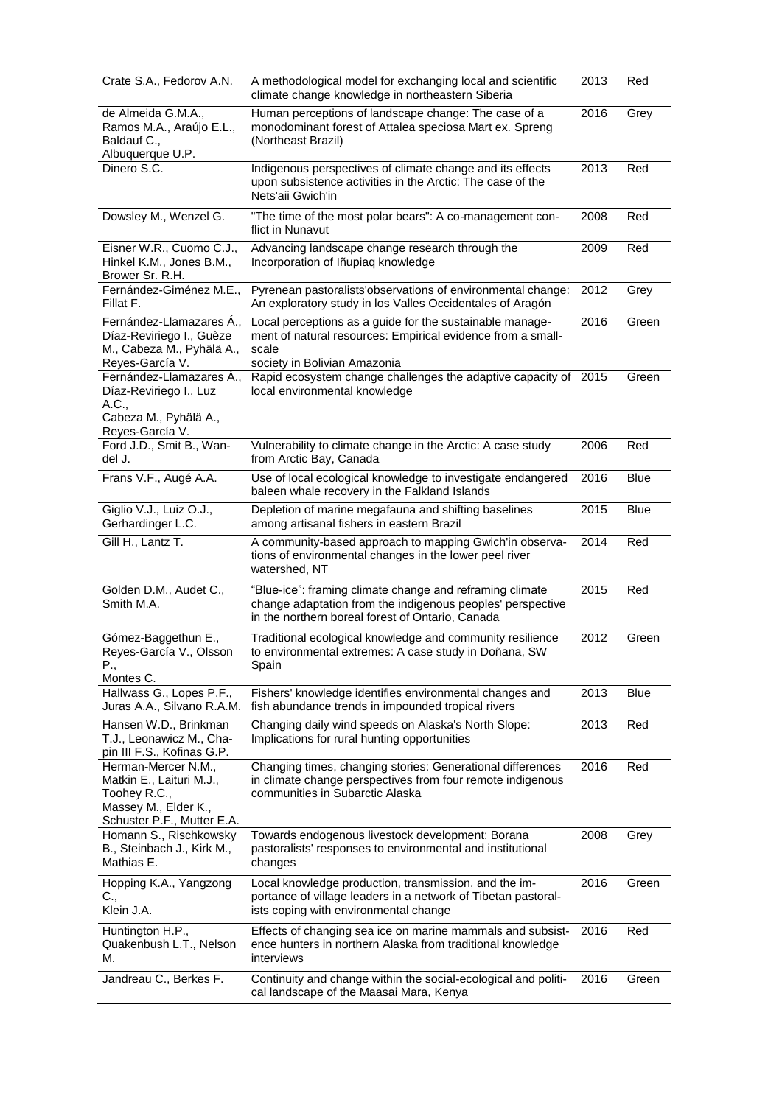| Crate S.A., Fedorov A.N.                                                                                              | A methodological model for exchanging local and scientific<br>climate change knowledge in northeastern Siberia                                                             | 2013 | Red         |
|-----------------------------------------------------------------------------------------------------------------------|----------------------------------------------------------------------------------------------------------------------------------------------------------------------------|------|-------------|
| de Almeida G.M.A.,<br>Ramos M.A., Araújo E.L.,<br>Baldauf C.,<br>Albuquerque U.P.                                     | Human perceptions of landscape change: The case of a<br>monodominant forest of Attalea speciosa Mart ex. Spreng<br>(Northeast Brazil)                                      | 2016 | Grey        |
| Dinero S.C.                                                                                                           | Indigenous perspectives of climate change and its effects<br>upon subsistence activities in the Arctic: The case of the<br>Nets'aii Gwich'in                               | 2013 | Red         |
| Dowsley M., Wenzel G.                                                                                                 | "The time of the most polar bears": A co-management con-<br>flict in Nunavut                                                                                               | 2008 | Red         |
| Eisner W.R., Cuomo C.J.,<br>Hinkel K.M., Jones B.M.,<br>Brower Sr. R.H.                                               | Advancing landscape change research through the<br>Incorporation of Iñupiaq knowledge                                                                                      | 2009 | Red         |
| Fernández-Giménez M.E.,<br>Fillat F.                                                                                  | Pyrenean pastoralists'observations of environmental change:<br>An exploratory study in los Valles Occidentales of Aragón                                                   | 2012 | Grey        |
| Fernández-Llamazares A.,<br>Díaz-Reviriego I., Guèze<br>M., Cabeza M., Pyhälä A.,<br>Reyes-García V.                  | Local perceptions as a guide for the sustainable manage-<br>ment of natural resources: Empirical evidence from a small-<br>scale<br>society in Bolivian Amazonia           | 2016 | Green       |
| Fernández-Llamazares A.,<br>Díaz-Reviriego I., Luz<br>A.C.,<br>Cabeza M., Pyhälä A.,                                  | Rapid ecosystem change challenges the adaptive capacity of 2015<br>local environmental knowledge                                                                           |      | Green       |
| Reyes-García V.<br>Ford J.D., Smit B., Wan-<br>del J.                                                                 | Vulnerability to climate change in the Arctic: A case study<br>from Arctic Bay, Canada                                                                                     | 2006 | Red         |
| Frans V.F., Augé A.A.                                                                                                 | Use of local ecological knowledge to investigate endangered<br>baleen whale recovery in the Falkland Islands                                                               | 2016 | <b>Blue</b> |
| Giglio V.J., Luiz O.J.,<br>Gerhardinger L.C.                                                                          | Depletion of marine megafauna and shifting baselines<br>among artisanal fishers in eastern Brazil                                                                          | 2015 | <b>Blue</b> |
| Gill H., Lantz T.                                                                                                     | A community-based approach to mapping Gwich'in observa-<br>tions of environmental changes in the lower peel river<br>watershed, NT                                         | 2014 | Red         |
| Golden D.M., Audet C.,<br>Smith M.A.                                                                                  | "Blue-ice": framing climate change and reframing climate<br>change adaptation from the indigenous peoples' perspective<br>in the northern boreal forest of Ontario, Canada | 2015 | Red         |
| Gómez-Baggethun E.,<br>Reyes-García V., Olsson<br>Ρ.,<br>Montes C.                                                    | Traditional ecological knowledge and community resilience<br>to environmental extremes: A case study in Doñana, SW<br>Spain                                                | 2012 | Green       |
| Hallwass G., Lopes P.F.,<br>Juras A.A., Silvano R.A.M.                                                                | Fishers' knowledge identifies environmental changes and<br>fish abundance trends in impounded tropical rivers                                                              | 2013 | Blue        |
| Hansen W.D., Brinkman<br>T.J., Leonawicz M., Cha-<br>pin III F.S., Kofinas G.P.                                       | Changing daily wind speeds on Alaska's North Slope:<br>Implications for rural hunting opportunities                                                                        | 2013 | Red         |
| Herman-Mercer N.M.,<br>Matkin E., Laituri M.J.,<br>Toohey R.C.,<br>Massey M., Elder K.,<br>Schuster P.F., Mutter E.A. | Changing times, changing stories: Generational differences<br>in climate change perspectives from four remote indigenous<br>communities in Subarctic Alaska                | 2016 | Red         |
| Homann S., Rischkowsky<br>B., Steinbach J., Kirk M.,<br>Mathias E.                                                    | Towards endogenous livestock development: Borana<br>pastoralists' responses to environmental and institutional<br>changes                                                  | 2008 | Grey        |
| Hopping K.A., Yangzong<br>C.,<br>Klein J.A.                                                                           | Local knowledge production, transmission, and the im-<br>portance of village leaders in a network of Tibetan pastoral-<br>ists coping with environmental change            | 2016 | Green       |
| Huntington H.P.,<br>Quakenbush L.T., Nelson<br>М.                                                                     | Effects of changing sea ice on marine mammals and subsist-<br>ence hunters in northern Alaska from traditional knowledge<br>interviews                                     | 2016 | Red         |
| Jandreau C., Berkes F.                                                                                                | Continuity and change within the social-ecological and politi-<br>cal landscape of the Maasai Mara, Kenya                                                                  | 2016 | Green       |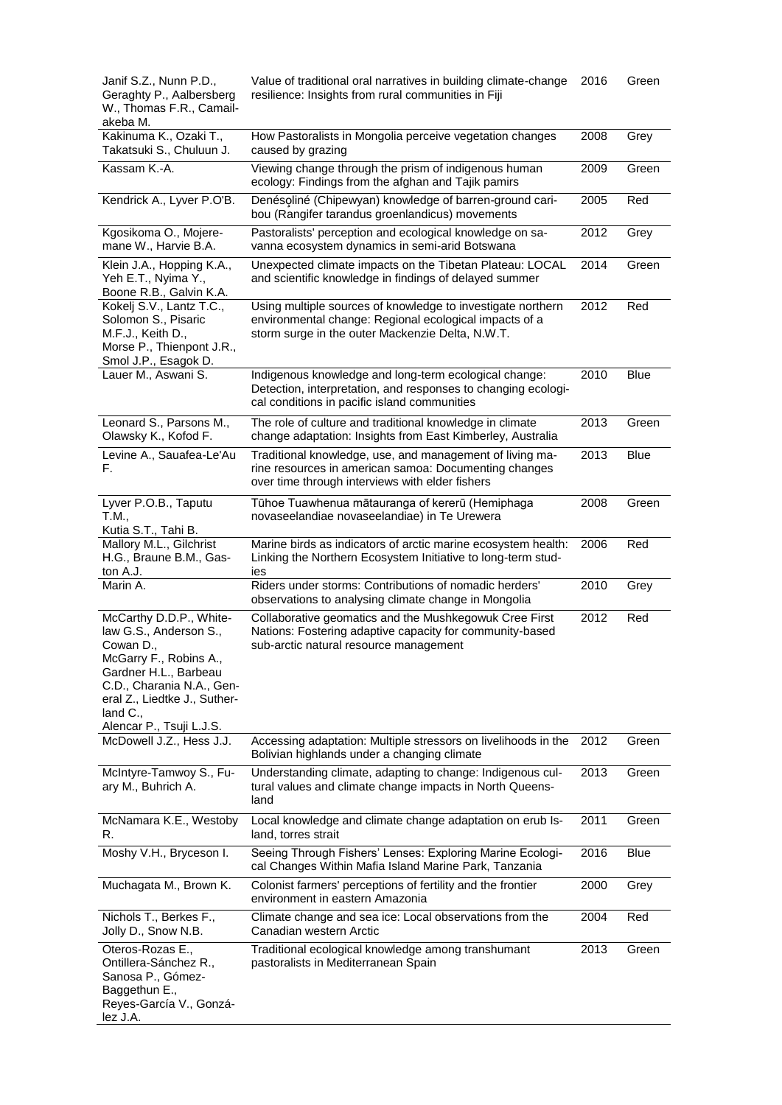| Janif S.Z., Nunn P.D.,<br>Geraghty P., Aalbersberg<br>W., Thomas F.R., Camail-<br>akeba M.                                                                                                                                       | Value of traditional oral narratives in building climate-change<br>resilience: Insights from rural communities in Fiji                                                    | 2016 | Green       |
|----------------------------------------------------------------------------------------------------------------------------------------------------------------------------------------------------------------------------------|---------------------------------------------------------------------------------------------------------------------------------------------------------------------------|------|-------------|
| Kakinuma K., Ozaki T.,<br>Takatsuki S., Chuluun J.                                                                                                                                                                               | How Pastoralists in Mongolia perceive vegetation changes<br>caused by grazing                                                                                             | 2008 | Grey        |
| Kassam K.-A.                                                                                                                                                                                                                     | Viewing change through the prism of indigenous human<br>ecology: Findings from the afghan and Tajik pamirs                                                                | 2009 | Green       |
| Kendrick A., Lyver P.O'B.                                                                                                                                                                                                        | Denésoliné (Chipewyan) knowledge of barren-ground cari-<br>bou (Rangifer tarandus groenlandicus) movements                                                                | 2005 | Red         |
| Kgosikoma O., Mojere-<br>mane W., Harvie B.A.                                                                                                                                                                                    | Pastoralists' perception and ecological knowledge on sa-<br>vanna ecosystem dynamics in semi-arid Botswana                                                                | 2012 | Grey        |
| Klein J.A., Hopping K.A.,<br>Yeh E.T., Nyima Y.,<br>Boone R.B., Galvin K.A.                                                                                                                                                      | Unexpected climate impacts on the Tibetan Plateau: LOCAL<br>and scientific knowledge in findings of delayed summer                                                        | 2014 | Green       |
| Kokelj S.V., Lantz T.C.,<br>Solomon S., Pisaric<br>M.F.J., Keith D.,<br>Morse P., Thienpont J.R.,<br>Smol J.P., Esagok D.                                                                                                        | Using multiple sources of knowledge to investigate northern<br>environmental change: Regional ecological impacts of a<br>storm surge in the outer Mackenzie Delta, N.W.T. | 2012 | Red         |
| Lauer M., Aswani S.                                                                                                                                                                                                              | Indigenous knowledge and long-term ecological change:<br>Detection, interpretation, and responses to changing ecologi-<br>cal conditions in pacific island communities    | 2010 | <b>Blue</b> |
| Leonard S., Parsons M.,<br>Olawsky K., Kofod F.                                                                                                                                                                                  | The role of culture and traditional knowledge in climate<br>change adaptation: Insights from East Kimberley, Australia                                                    | 2013 | Green       |
| Levine A., Sauafea-Le'Au<br>F.                                                                                                                                                                                                   | Traditional knowledge, use, and management of living ma-<br>rine resources in american samoa: Documenting changes<br>over time through interviews with elder fishers      | 2013 | <b>Blue</b> |
| Lyver P.O.B., Taputu<br>T.M.,<br>Kutia S.T., Tahi B.                                                                                                                                                                             | Tūhoe Tuawhenua mātauranga of kererū (Hemiphaga<br>novaseelandiae novaseelandiae) in Te Urewera                                                                           | 2008 | Green       |
| Mallory M.L., Gilchrist<br>H.G., Braune B.M., Gas-<br>ton A.J.                                                                                                                                                                   | Marine birds as indicators of arctic marine ecosystem health:<br>Linking the Northern Ecosystem Initiative to long-term stud-<br>ies                                      | 2006 | Red         |
| Marin A.                                                                                                                                                                                                                         | Riders under storms: Contributions of nomadic herders'<br>observations to analysing climate change in Mongolia                                                            | 2010 | Grey        |
| McCarthy D.D.P., White-<br>law G.S., Anderson S.,<br>Cowan D.,<br>McGarry F., Robins A.,<br>Gardner H.L., Barbeau<br>C.D., Charania N.A., Gen-<br>eral Z., Liedtke J., Suther-<br>land $C_{\cdot}$ ,<br>Alencar P., Tsuji L.J.S. | Collaborative geomatics and the Mushkegowuk Cree First<br>Nations: Fostering adaptive capacity for community-based<br>sub-arctic natural resource management              | 2012 | Red         |
| McDowell J.Z., Hess J.J.                                                                                                                                                                                                         | Accessing adaptation: Multiple stressors on livelihoods in the<br>Bolivian highlands under a changing climate                                                             | 2012 | Green       |
| McIntyre-Tamwoy S., Fu-<br>ary M., Buhrich A.                                                                                                                                                                                    | Understanding climate, adapting to change: Indigenous cul-<br>tural values and climate change impacts in North Queens-<br>land                                            | 2013 | Green       |
| McNamara K.E., Westoby<br>R.                                                                                                                                                                                                     | Local knowledge and climate change adaptation on erub Is-<br>land, torres strait                                                                                          | 2011 | Green       |
| Moshy V.H., Bryceson I.                                                                                                                                                                                                          | Seeing Through Fishers' Lenses: Exploring Marine Ecologi-<br>cal Changes Within Mafia Island Marine Park, Tanzania                                                        | 2016 | <b>Blue</b> |
| Muchagata M., Brown K.                                                                                                                                                                                                           | Colonist farmers' perceptions of fertility and the frontier<br>environment in eastern Amazonia                                                                            | 2000 | Grey        |
| Nichols T., Berkes F.,<br>Jolly D., Snow N.B.                                                                                                                                                                                    | Climate change and sea ice: Local observations from the<br>Canadian western Arctic                                                                                        | 2004 | Red         |
| Oteros-Rozas E.,<br>Ontillera-Sánchez R.,<br>Sanosa P., Gómez-<br>Baggethun E.,<br>Reyes-García V., Gonzá-<br>lez J.A.                                                                                                           | Traditional ecological knowledge among transhumant<br>pastoralists in Mediterranean Spain                                                                                 | 2013 | Green       |